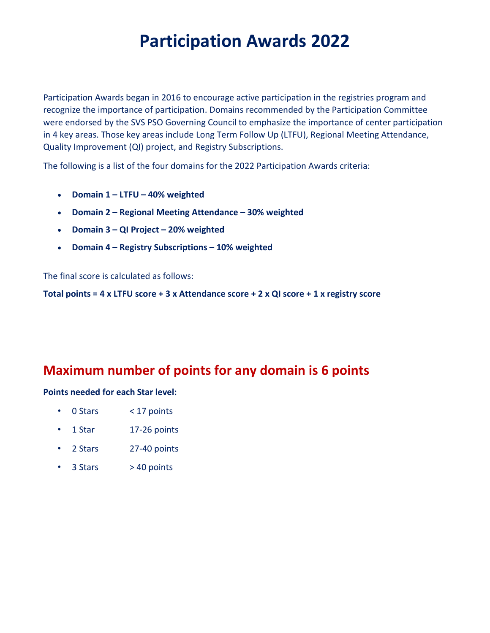# **Participation Awards 2022**

Participation Awards began in 2016 to encourage active participation in the registries program and recognize the importance of participation. Domains recommended by the Participation Committee were endorsed by the SVS PSO Governing Council to emphasize the importance of center participation in 4 key areas. Those key areas include Long Term Follow Up (LTFU), Regional Meeting Attendance, Quality Improvement (QI) project, and Registry Subscriptions.

The following is a list of the four domains for the 2022 Participation Awards criteria:

- **Domain 1 – LTFU – 40% weighted**
- **Domain 2 – Regional Meeting Attendance – 30% weighted**
- **Domain 3 – QI Project – 20% weighted**
- **Domain 4 – Registry Subscriptions – 10% weighted**

The final score is calculated as follows:

**Total points = 4 x LTFU score + 3 x Attendance score + 2 x QI score + 1 x registry score**

# **Maximum number of points for any domain is 6 points**

### **Points needed for each Star level:**

- 0 Stars < 17 points
- 1 Star 17-26 points
- 2 Stars 27-40 points
- 3 Stars > 40 points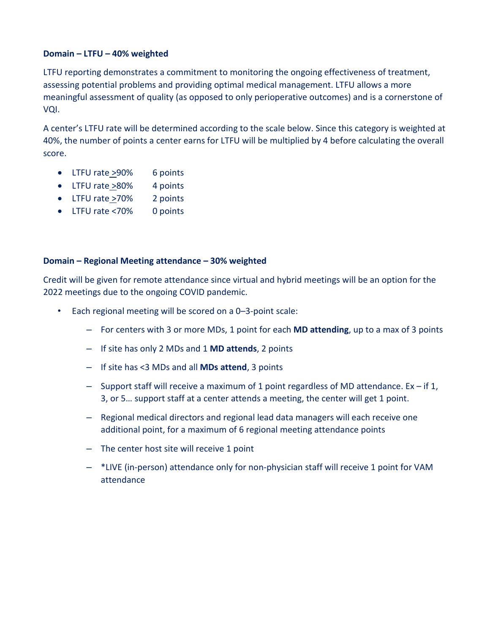# **Domain – LTFU – 40% weighted**

LTFU reporting demonstrates a commitment to monitoring the ongoing effectiveness of treatment, assessing potential problems and providing optimal medical management. LTFU allows a more meaningful assessment of quality (as opposed to only perioperative outcomes) and is a cornerstone of VQI.

A center's LTFU rate will be determined according to the scale below. Since this category is weighted at 40%, the number of points a center earns for LTFU will be multiplied by 4 before calculating the overall score.

- LTFU rate >90% 6 points
- LTFU rate >80% 4 points
- LTFU rate >70% 2 points
- LTFU rate <70% 0 points

## **Domain – Regional Meeting attendance – 30% weighted**

Credit will be given for remote attendance since virtual and hybrid meetings will be an option for the 2022 meetings due to the ongoing COVID pandemic.

- Each regional meeting will be scored on a 0–3-point scale:
	- For centers with 3 or more MDs, 1 point for each **MD attending**, up to a max of 3 points
	- If site has only 2 MDs and 1 **MD attends**, 2 points
	- If site has <3 MDs and all **MDs attend**, 3 points
	- Support staff will receive a maximum of 1 point regardless of MD attendance. Ex if 1, 3, or 5… support staff at a center attends a meeting, the center will get 1 point.
	- Regional medical directors and regional lead data managers will each receive one additional point, for a maximum of 6 regional meeting attendance points
	- The center host site will receive 1 point
	- \*LIVE (in-person) attendance only for non-physician staff will receive 1 point for VAM attendance